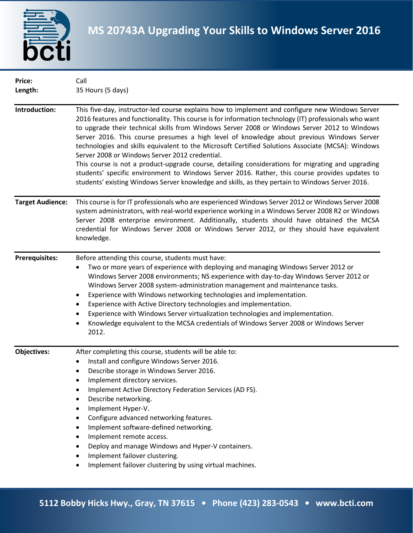

| Price:<br>Length:       | Call<br>35 Hours (5 days)                                                                                                                                                                                                                                                                                                                                                                                                                                                                                                                                                                                                                                                                                                                                                                                                                                               |
|-------------------------|-------------------------------------------------------------------------------------------------------------------------------------------------------------------------------------------------------------------------------------------------------------------------------------------------------------------------------------------------------------------------------------------------------------------------------------------------------------------------------------------------------------------------------------------------------------------------------------------------------------------------------------------------------------------------------------------------------------------------------------------------------------------------------------------------------------------------------------------------------------------------|
| Introduction:           | This five-day, instructor-led course explains how to implement and configure new Windows Server<br>2016 features and functionality. This course is for information technology (IT) professionals who want<br>to upgrade their technical skills from Windows Server 2008 or Windows Server 2012 to Windows<br>Server 2016. This course presumes a high level of knowledge about previous Windows Server<br>technologies and skills equivalent to the Microsoft Certified Solutions Associate (MCSA): Windows<br>Server 2008 or Windows Server 2012 credential.<br>This course is not a product-upgrade course, detailing considerations for migrating and upgrading<br>students' specific environment to Windows Server 2016. Rather, this course provides updates to<br>students' existing Windows Server knowledge and skills, as they pertain to Windows Server 2016. |
| <b>Target Audience:</b> | This course is for IT professionals who are experienced Windows Server 2012 or Windows Server 2008<br>system administrators, with real-world experience working in a Windows Server 2008 R2 or Windows<br>Server 2008 enterprise environment. Additionally, students should have obtained the MCSA<br>credential for Windows Server 2008 or Windows Server 2012, or they should have equivalent<br>knowledge.                                                                                                                                                                                                                                                                                                                                                                                                                                                           |
| <b>Prerequisites:</b>   | Before attending this course, students must have:<br>Two or more years of experience with deploying and managing Windows Server 2012 or<br>Windows Server 2008 environments; NS experience with day-to-day Windows Server 2012 or<br>Windows Server 2008 system-administration management and maintenance tasks.<br>Experience with Windows networking technologies and implementation.<br>٠<br>Experience with Active Directory technologies and implementation.<br>٠<br>Experience with Windows Server virtualization technologies and implementation.<br>Knowledge equivalent to the MCSA credentials of Windows Server 2008 or Windows Server<br>٠<br>2012.                                                                                                                                                                                                         |
| <b>Objectives:</b>      | After completing this course, students will be able to:<br>Install and configure Windows Server 2016.<br>Describe storage in Windows Server 2016.<br>Implement directory services.<br>Implement Active Directory Federation Services (AD FS).<br>Describe networking.<br>$\bullet$<br>Implement Hyper-V.<br>$\bullet$<br>Configure advanced networking features.<br>Implement software-defined networking.<br>$\bullet$<br>Implement remote access.<br>Deploy and manage Windows and Hyper-V containers.<br>Implement failover clustering.<br>$\bullet$<br>Implement failover clustering by using virtual machines.                                                                                                                                                                                                                                                     |